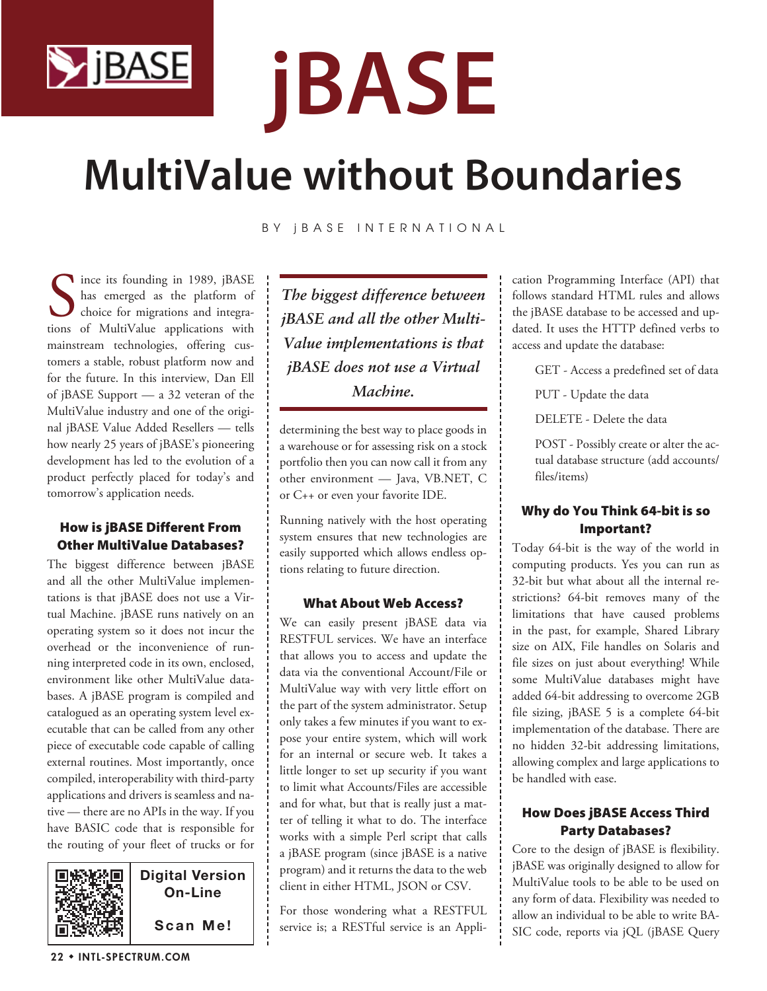

# **jBASE**

# **MultiValue without Boundaries**

BY **jBASE INTERNATIONAL** 

Since its founding in 1989, jBASE<br>has emerged as the platform of<br>choice for migrations and integra-<br>tions of MultiValue applications with ince its founding in 1989, jBASE has emerged as the platform of choice for migrations and integramainstream technologies, offering customers a stable, robust platform now and for the future. In this interview, Dan Ell of jBASE Support — a 32 veteran of the MultiValue industry and one of the original jBASE Value Added Resellers — tells how nearly 25 years of jBASE's pioneering development has led to the evolution of a product perfectly placed for today's and tomorrow's application needs.

#### How is jBASE Different From Other MultiValue Databases?

The biggest difference between jBASE and all the other MultiValue implementations is that jBASE does not use a Virtual Machine. jBASE runs natively on an operating system so it does not incur the overhead or the inconvenience of running interpreted code in its own, enclosed, environment like other MultiValue databases. A jBASE program is compiled and catalogued as an operating system level executable that can be called from any other piece of executable code capable of calling external routines. Most importantly, once compiled, interoperability with third-party applications and drivers is seamless and native — there are no APIs in the way. If you have BASIC code that is responsible for the routing of your fleet of trucks or for



*The biggest difference between jBASE and all the other Multi-Value implementations is that jBASE does not use a Virtual Machine.*

determining the best way to place goods in a warehouse or for assessing risk on a stock portfolio then you can now call it from any other environment — Java, VB.NET, C or C++ or even your favorite IDE.

Running natively with the host operating system ensures that new technologies are easily supported which allows endless options relating to future direction.

#### What About Web Access?

We can easily present jBASE data via RESTFUL services. We have an interface that allows you to access and update the data via the conventional Account/File or MultiValue way with very little effort on the part of the system administrator. Setup only takes a few minutes if you want to expose your entire system, which will work for an internal or secure web. It takes a little longer to set up security if you want to limit what Accounts/Files are accessible and for what, but that is really just a matter of telling it what to do. The interface works with a simple Perl script that calls a jBASE program (since jBASE is a native program) and it returns the data to the web client in either HTML, JSON or CSV.

For those wondering what a RESTFUL service is; a RESTful service is an Application Programming Interface (API) that follows standard HTML rules and allows the jBASE database to be accessed and updated. It uses the HTTP defined verbs to access and update the database:

- GET Access a predefined set of data
- PUT Update the data
- DELETE Delete the data

POST - Possibly create or alter the actual database structure (add accounts/ files/items)

# Why do You Think 64-bit is so Important?

Today 64-bit is the way of the world in computing products. Yes you can run as 32-bit but what about all the internal restrictions? 64-bit removes many of the limitations that have caused problems in the past, for example, Shared Library size on AIX, File handles on Solaris and file sizes on just about everything! While some MultiValue databases might have added 64-bit addressing to overcome 2GB file sizing, jBASE 5 is a complete 64-bit implementation of the database. There are no hidden 32-bit addressing limitations, allowing complex and large applications to be handled with ease.

# How Does jBASE Access Third Party Databases?

Core to the design of jBASE is flexibility. jBASE was originally designed to allow for MultiValue tools to be able to be used on any form of data. Flexibility was needed to allow an individual to be able to write BA-SIC code, reports via jQL (jBASE Query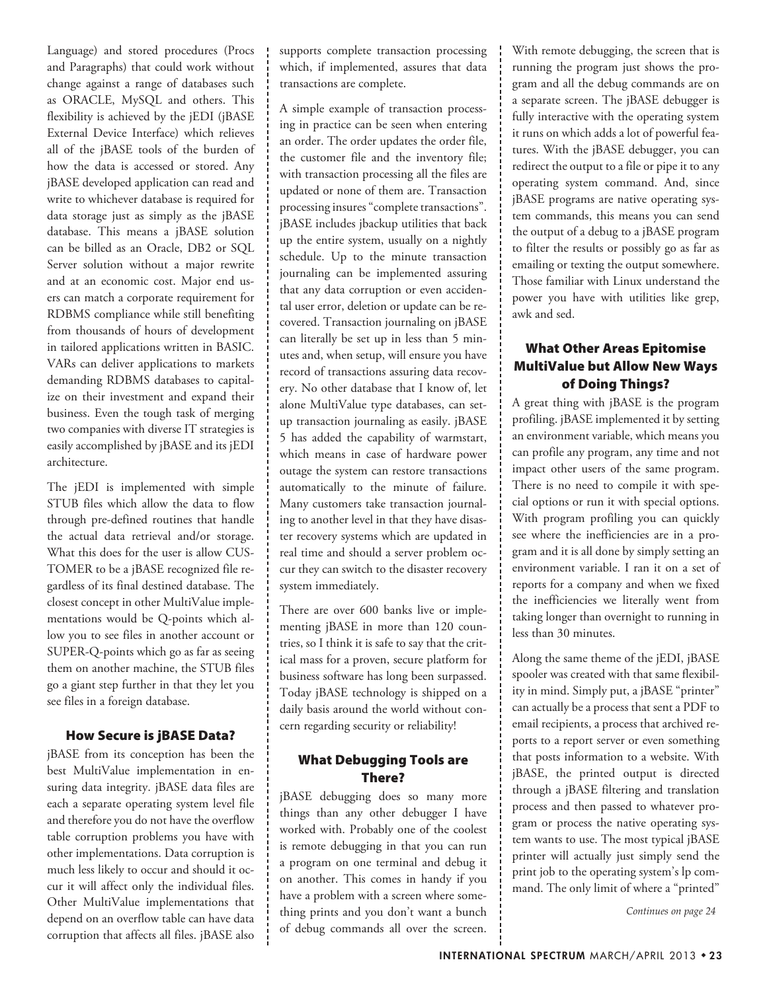Language) and stored procedures (Procs and Paragraphs) that could work without change against a range of databases such as ORACLE, MySQL and others. This flexibility is achieved by the jEDI (jBASE External Device Interface) which relieves all of the jBASE tools of the burden of how the data is accessed or stored. Any jBASE developed application can read and write to whichever database is required for data storage just as simply as the jBASE database. This means a jBASE solution can be billed as an Oracle, DB2 or SQL Server solution without a major rewrite and at an economic cost. Major end users can match a corporate requirement for RDBMS compliance while still benefiting from thousands of hours of development in tailored applications written in BASIC. VARs can deliver applications to markets demanding RDBMS databases to capitalize on their investment and expand their business. Even the tough task of merging two companies with diverse IT strategies is easily accomplished by jBASE and its jEDI architecture.

The jEDI is implemented with simple STUB files which allow the data to flow through pre-defined routines that handle the actual data retrieval and/or storage. What this does for the user is allow CUS-TOMER to be a jBASE recognized file regardless of its final destined database. The closest concept in other MultiValue implementations would be Q-points which allow you to see files in another account or SUPER-Q-points which go as far as seeing them on another machine, the STUB files go a giant step further in that they let you see files in a foreign database.

#### How Secure is jBASE Data?

jBASE from its conception has been the best MultiValue implementation in ensuring data integrity. jBASE data files are each a separate operating system level file and therefore you do not have the overflow table corruption problems you have with other implementations. Data corruption is much less likely to occur and should it occur it will affect only the individual files. Other MultiValue implementations that depend on an overflow table can have data corruption that affects all files. jBASE also

supports complete transaction processing which, if implemented, assures that data transactions are complete.

A simple example of transaction processing in practice can be seen when entering an order. The order updates the order file, the customer file and the inventory file; with transaction processing all the files are updated or none of them are. Transaction processing insures "complete transactions". jBASE includes jbackup utilities that back up the entire system, usually on a nightly schedule. Up to the minute transaction journaling can be implemented assuring that any data corruption or even accidental user error, deletion or update can be recovered. Transaction journaling on jBASE can literally be set up in less than 5 minutes and, when setup, will ensure you have record of transactions assuring data recovery. No other database that I know of, let alone MultiValue type databases, can setup transaction journaling as easily. jBASE 5 has added the capability of warmstart, which means in case of hardware power outage the system can restore transactions automatically to the minute of failure. Many customers take transaction journaling to another level in that they have disaster recovery systems which are updated in real time and should a server problem occur they can switch to the disaster recovery system immediately.

There are over 600 banks live or implementing jBASE in more than 120 countries, so I think it is safe to say that the critical mass for a proven, secure platform for business software has long been surpassed. Today jBASE technology is shipped on a daily basis around the world without concern regarding security or reliability!

#### What Debugging Tools are There?

jBASE debugging does so many more things than any other debugger I have worked with. Probably one of the coolest is remote debugging in that you can run a program on one terminal and debug it on another. This comes in handy if you have a problem with a screen where something prints and you don't want a bunch of debug commands all over the screen. With remote debugging, the screen that is running the program just shows the program and all the debug commands are on a separate screen. The jBASE debugger is fully interactive with the operating system it runs on which adds a lot of powerful features. With the jBASE debugger, you can redirect the output to a file or pipe it to any operating system command. And, since jBASE programs are native operating system commands, this means you can send the output of a debug to a jBASE program to filter the results or possibly go as far as emailing or texting the output somewhere. Those familiar with Linux understand the power you have with utilities like grep, awk and sed.

# What Other Areas Epitomise MultiValue but Allow New Ways of Doing Things?

A great thing with jBASE is the program profiling. jBASE implemented it by setting an environment variable, which means you can profile any program, any time and not impact other users of the same program. There is no need to compile it with special options or run it with special options. With program profiling you can quickly see where the inefficiencies are in a program and it is all done by simply setting an environment variable. I ran it on a set of reports for a company and when we fixed the inefficiencies we literally went from taking longer than overnight to running in less than 30 minutes.

Along the same theme of the jEDI, jBASE spooler was created with that same flexibility in mind. Simply put, a jBASE "printer" can actually be a process that sent a PDF to email recipients, a process that archived reports to a report server or even something that posts information to a website. With jBASE, the printed output is directed through a jBASE filtering and translation process and then passed to whatever program or process the native operating system wants to use. The most typical jBASE printer will actually just simply send the print job to the operating system's lp command. The only limit of where a "printed"

*Continues on page 24*